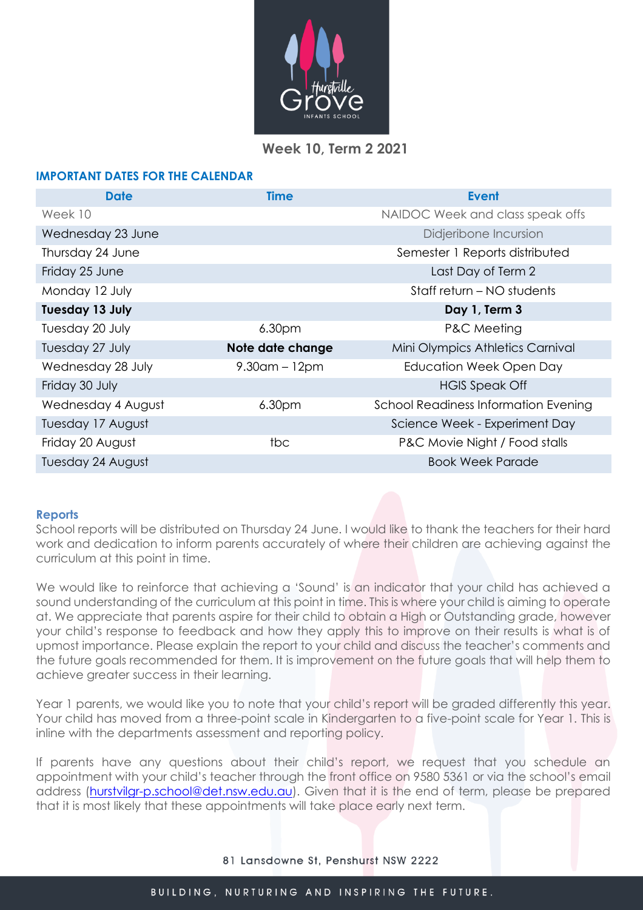

# **Week 10, Term 2 2021**

## **IMPORTANT DATES FOR THE CALENDAR**

| <b>Date</b>            | <b>Time</b>                | <b>Event</b>                                |  |  |  |
|------------------------|----------------------------|---------------------------------------------|--|--|--|
| Week 10                |                            | NAIDOC Week and class speak offs            |  |  |  |
| Wednesday 23 June      |                            | Didjeribone Incursion                       |  |  |  |
| Thursday 24 June       |                            | Semester 1 Reports distributed              |  |  |  |
| Friday 25 June         |                            | Last Day of Term 2                          |  |  |  |
| Monday 12 July         | Staff return – NO students |                                             |  |  |  |
| <b>Tuesday 13 July</b> |                            | Day 1, Term 3                               |  |  |  |
| Tuesday 20 July        | 6.30 <sub>pm</sub>         | <b>P&amp;C</b> Meeting                      |  |  |  |
| Tuesday 27 July        | Note date change           | Mini Olympics Athletics Carnival            |  |  |  |
| Wednesday 28 July      | $9.30$ am – 12pm           | Education Week Open Day                     |  |  |  |
| Friday 30 July         |                            | <b>HGIS Speak Off</b>                       |  |  |  |
| Wednesday 4 August     | 6.30pm                     | <b>School Readiness Information Evening</b> |  |  |  |
| Tuesday 17 August      |                            | Science Week - Experiment Day               |  |  |  |
| Friday 20 August       | tbc                        | P&C Movie Night / Food stalls               |  |  |  |
| Tuesday 24 August      |                            | <b>Book Week Parade</b>                     |  |  |  |

## **Reports**

School reports will be distributed on Thursday 24 June. I would like to thank the teachers for their hard work and dedication to inform parents accurately of where their children are achieving against the curriculum at this point in time.

We would like to reinforce that achieving a 'Sound' is an indicator that your child has achieved a sound understanding of the curriculum at this point in time. This is where your child is aiming to operate at. We appreciate that parents aspire for their child to obtain a High or Outstanding grade, however your child's response to feedback and how they apply this to improve on their results is what is of upmost importance. Please explain the report to your child and discuss the teacher's comments and the future goals recommended for them. It is improvement on the future goals that will help them to achieve greater success in their learning.

Year 1 parents, we would like you to note that your child's report will be graded differently this year. Your child has moved from a three-point scale in Kindergarten to a five-point scale for Year 1. This is inline with the departments assessment and reporting policy.

If parents have any questions about their child's report, we request that you schedule an appointment with your child's teacher through the front office on 9580 5361 or via the school's email address [\(hurstvilgr-p.school@det.nsw.edu.au\)](mailto:hurstvilgr-p.school@det.nsw.edu.au). Given that it is the end of term, please be prepared that it is most likely that these appointments will take place early next term.

81 Lansdowne St, Penshurst NSW 2222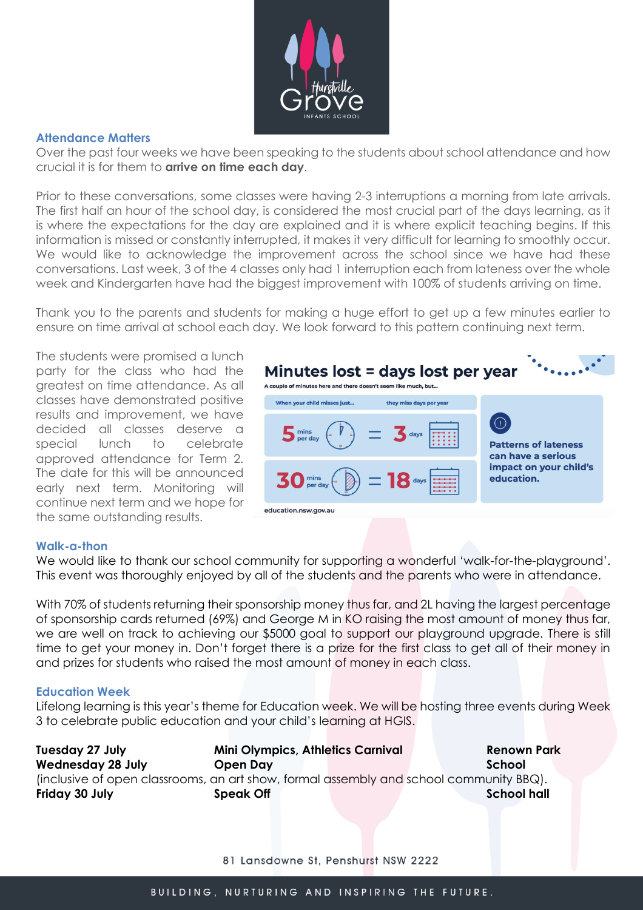

#### **Attendance Matters**

Over the past four weeks we have been speaking to the students about school attendance and how crucial it is for them to **arrive on time each day**.

Prior to these conversations, some classes were having 2-3 interruptions a morning from late arrivals. The first half an hour of the school day, is considered the most crucial part of the days learning, as it is where the expectations for the day are explained and it is where explicit teaching begins. If this information is missed or constantly interrupted, it makes it very difficult for learning to smoothly occur. We would like to acknowledge the improvement across the school since we have had these conversations. Last week, 3 of the 4 classes only had 1 interruption each from lateness over the whole week and Kindergarten have had the biggest improvement with 100% of students arriving on time.

Thank you to the parents and students for making a huge effort to get up a few minutes earlier to ensure on time arrival at school each day. We look forward to this pattern continuing next term.

The students were promised a lunch party for the class who had the greatest on time attendance. As all classes have demonstrated positive results and improvement, we have decided all classes deserve a special lunch to celebrate approved attendance for Term 2. The date for this will be announced early next term. Monitoring will continue next term and we hope for the same outstanding results.



#### **Walk-a-thon**

We would like to thank our school community for supporting a wonderful 'walk-for-the-playground'. This event was thoroughly enjoyed by all of the students and the parents who were in attendance.

With 70% of students returning their sponsorship money thus far, and 2L having the largest percentage of sponsorship cards returned (69%) and George M in KO raising the most amount of money thus far, we are well on track to achieving our \$5000 goal to support our playground upgrade. There is still time to get your money in. Don't forget there is a prize for the first class to get all of their money in and prizes for students who raised the most amount of money in each class.

### **Education Week**

Lifelong learning is this year's theme for Education week. We will be hosting three events during Week 3 to celebrate public education and your child's learning at HGIS.

| Tuesday 27 July                                                                        | <b>Mini Olympics, Athletics Carnival</b> | <b>Renown Park</b> |
|----------------------------------------------------------------------------------------|------------------------------------------|--------------------|
| <b>Wednesday 28 July</b>                                                               | Open Day                                 | School             |
| (inclusive of open classrooms, an art show, formal assembly and school community BBQ). |                                          |                    |
| Friday 30 July                                                                         | <b>Speak Off</b>                         | <b>School hall</b> |

81 Lansdowne St, Penshurst NSW 2222